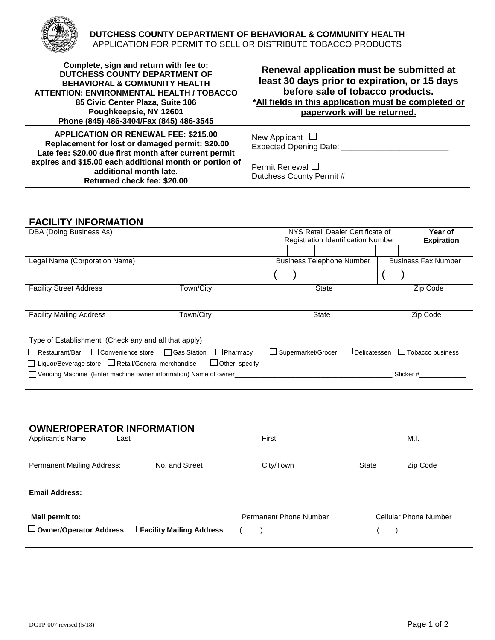

| Complete, sign and return with fee to:<br>DUTCHESS COUNTY DEPARTMENT OF<br><b>BEHAVIORAL &amp; COMMUNITY HEALTH</b><br>ATTENTION: ENVIRONMENTAL HEALTH / TOBACCO<br>85 Civic Center Plaza, Suite 106<br>Poughkeepsie, NY 12601<br>Phone (845) 486-3404/Fax (845) 486-3545 | Renewal application must be submitted at<br>least 30 days prior to expiration, or 15 days<br>before sale of tobacco products.<br>*All fields in this application must be completed or<br>paperwork will be returned. |
|---------------------------------------------------------------------------------------------------------------------------------------------------------------------------------------------------------------------------------------------------------------------------|----------------------------------------------------------------------------------------------------------------------------------------------------------------------------------------------------------------------|
| <b>APPLICATION OR RENEWAL FEE: \$215.00</b><br>Replacement for lost or damaged permit: \$20.00<br>Late fee: \$20.00 due first month after current permit                                                                                                                  | New Applicant $\Box$<br>Expected Opening Date: ______                                                                                                                                                                |
| expires and \$15.00 each additional month or portion of<br>additional month late.<br>Returned check fee: \$20.00                                                                                                                                                          | Permit Renewal $\Box$<br>Dutchess County Permit #                                                                                                                                                                    |

## **FACILITY INFORMATION**

| DBA (Doing Business As)                                                                                                   |                                                 | NYS Retail Dealer Certificate of<br>Year of<br><b>Registration Identification Number</b><br><b>Expiration</b> |  |  |          |  |                            |           |                                             |
|---------------------------------------------------------------------------------------------------------------------------|-------------------------------------------------|---------------------------------------------------------------------------------------------------------------|--|--|----------|--|----------------------------|-----------|---------------------------------------------|
|                                                                                                                           |                                                 |                                                                                                               |  |  |          |  |                            |           |                                             |
| Legal Name (Corporation Name)                                                                                             |                                                 | <b>Business Telephone Number</b>                                                                              |  |  |          |  | <b>Business Fax Number</b> |           |                                             |
|                                                                                                                           |                                                 |                                                                                                               |  |  |          |  |                            |           |                                             |
| <b>Facility Street Address</b>                                                                                            | Town/City                                       | <b>State</b>                                                                                                  |  |  | Zip Code |  |                            |           |                                             |
| <b>Facility Mailing Address</b>                                                                                           | Town/City                                       | <b>State</b>                                                                                                  |  |  | Zip Code |  |                            |           |                                             |
| Type of Establishment (Check any and all that apply)                                                                      |                                                 |                                                                                                               |  |  |          |  |                            |           |                                             |
| $\Box$ Restaurant/Bar $\Box$ Convenience store $\Box$ Gas Station<br>□ Liquor/Beverage store □ Retail/General merchandise | $\Box$ Pharmacy<br>$\Box$ Other, specify $\Box$ | $\Box$ Supermarket/Grocer                                                                                     |  |  |          |  |                            |           | $\Box$ Delicatessen $\Box$ Tobacco business |
| □ Vending Machine (Enter machine owner information) Name of owner                                                         |                                                 |                                                                                                               |  |  |          |  |                            | Sticker # |                                             |

# **OWNER/OPERATOR INFORMATION**

| Applicant's Name:<br>Last                                     |                | First                         | M.I.                         |
|---------------------------------------------------------------|----------------|-------------------------------|------------------------------|
|                                                               |                |                               |                              |
| <b>Permanent Mailing Address:</b>                             | No. and Street | City/Town                     | Zip Code<br><b>State</b>     |
|                                                               |                |                               |                              |
| <b>Email Address:</b>                                         |                |                               |                              |
|                                                               |                |                               |                              |
| Mail permit to:                                               |                | <b>Permanent Phone Number</b> | <b>Cellular Phone Number</b> |
| $\Box$ Owner/Operator Address $\Box$ Facility Mailing Address |                |                               |                              |
|                                                               |                |                               |                              |